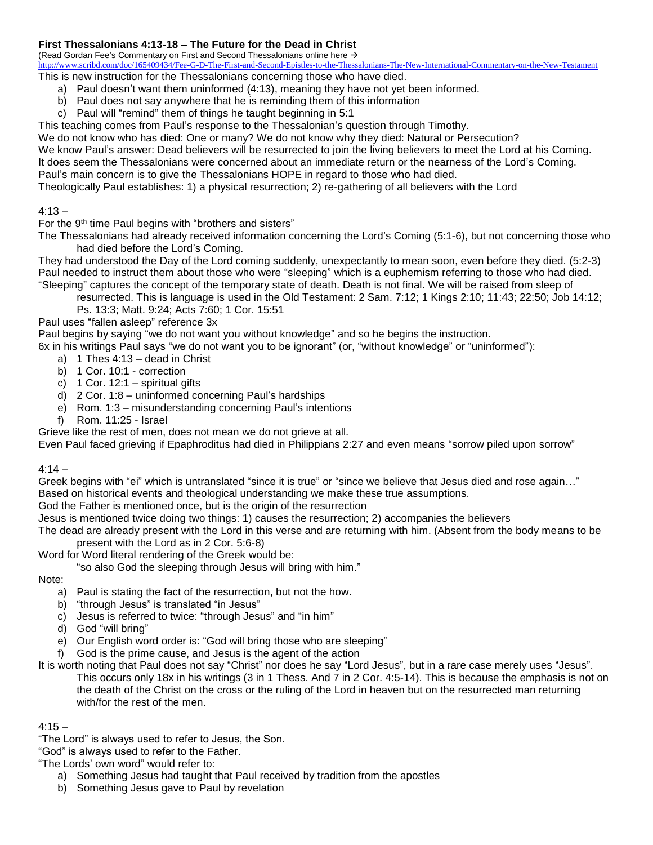### **First Thessalonians 4:13-18 – The Future for the Dead in Christ**

(Read Gordan Fee's Commentary on First and Second Thessalonians online here  $\rightarrow$ 

<http://www.scribd.com/doc/165409434/Fee-G-D-The-First-and-Second-Epistles-to-the-Thessalonians-The-New-International-Commentary-on-the-New-Testament> This is new instruction for the Thessalonians concerning those who have died.

- a) Paul doesn't want them uninformed (4:13), meaning they have not yet been informed.
- b) Paul does not say anywhere that he is reminding them of this information
- c) Paul will "remind" them of things he taught beginning in 5:1

This teaching comes from Paul's response to the Thessalonian's question through Timothy.

We do not know who has died: One or many? We do not know why they died: Natural or Persecution?

We know Paul's answer: Dead believers will be resurrected to join the living believers to meet the Lord at his Coming. It does seem the Thessalonians were concerned about an immediate return or the nearness of the Lord's Coming. Paul's main concern is to give the Thessalonians HOPE in regard to those who had died.

Theologically Paul establishes: 1) a physical resurrection; 2) re-gathering of all believers with the Lord

### $4:13 -$

For the 9<sup>th</sup> time Paul begins with "brothers and sisters"

The Thessalonians had already received information concerning the Lord's Coming (5:1-6), but not concerning those who had died before the Lord's Coming.

They had understood the Day of the Lord coming suddenly, unexpectantly to mean soon, even before they died. (5:2-3) Paul needed to instruct them about those who were "sleeping" which is a euphemism referring to those who had died. "Sleeping" captures the concept of the temporary state of death. Death is not final. We will be raised from sleep of

resurrected. This is language is used in the Old Testament: 2 Sam. 7:12; 1 Kings 2:10; 11:43; 22:50; Job 14:12;

# Ps. 13:3; Matt. 9:24; Acts 7:60; 1 Cor. 15:51

Paul uses "fallen asleep" reference 3x

Paul begins by saying "we do not want you without knowledge" and so he begins the instruction.

- 6x in his writings Paul says "we do not want you to be ignorant" (or, "without knowledge" or "uninformed"):
	- a) 1 Thes 4:13 dead in Christ
	- b) 1 Cor. 10:1 correction
	- c)  $1$  Cor.  $12:1$  spiritual gifts
	- d) 2 Cor. 1:8 uninformed concerning Paul's hardships
	- e) Rom. 1:3 misunderstanding concerning Paul's intentions
	- f) Rom. 11:25 Israel

Grieve like the rest of men, does not mean we do not grieve at all.

Even Paul faced grieving if Epaphroditus had died in Philippians 2:27 and even means "sorrow piled upon sorrow"

### $4:14 -$

Greek begins with "ei" which is untranslated "since it is true" or "since we believe that Jesus died and rose again…" Based on historical events and theological understanding we make these true assumptions.

God the Father is mentioned once, but is the origin of the resurrection

Jesus is mentioned twice doing two things: 1) causes the resurrection; 2) accompanies the believers

The dead are already present with the Lord in this verse and are returning with him. (Absent from the body means to be present with the Lord as in 2 Cor. 5:6-8)

Word for Word literal rendering of the Greek would be:

"so also God the sleeping through Jesus will bring with him."

Note:

- a) Paul is stating the fact of the resurrection, but not the how.
- b) "through Jesus" is translated "in Jesus"
- c) Jesus is referred to twice: "through Jesus" and "in him"
- d) God "will bring"
- e) Our English word order is: "God will bring those who are sleeping"
- God is the prime cause, and Jesus is the agent of the action
- It is worth noting that Paul does not say "Christ" nor does he say "Lord Jesus", but in a rare case merely uses "Jesus". This occurs only 18x in his writings (3 in 1 Thess. And 7 in 2 Cor. 4:5-14). This is because the emphasis is not on the death of the Christ on the cross or the ruling of the Lord in heaven but on the resurrected man returning with/for the rest of the men.

### $4:15 -$

"The Lord" is always used to refer to Jesus, the Son.

"God" is always used to refer to the Father.

"The Lords' own word" would refer to:

- a) Something Jesus had taught that Paul received by tradition from the apostles
- b) Something Jesus gave to Paul by revelation